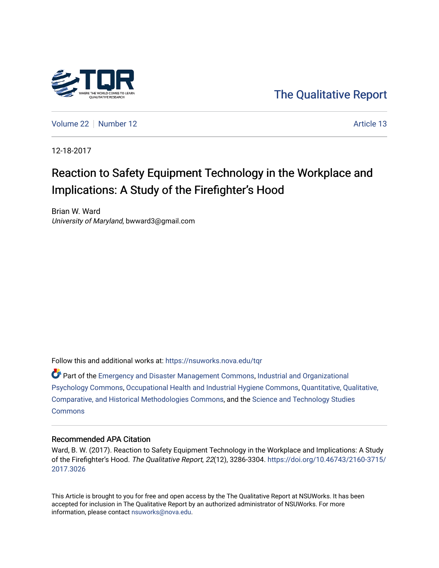

[The Qualitative Report](https://nsuworks.nova.edu/tqr) 

[Volume 22](https://nsuworks.nova.edu/tqr/vol22) [Number 12](https://nsuworks.nova.edu/tqr/vol22/iss12) Article 13

12-18-2017

# Reaction to Safety Equipment Technology in the Workplace and Implications: A Study of the Firefighter's Hood

Brian W. Ward University of Maryland, bwward3@gmail.com

Follow this and additional works at: [https://nsuworks.nova.edu/tqr](https://nsuworks.nova.edu/tqr?utm_source=nsuworks.nova.edu%2Ftqr%2Fvol22%2Fiss12%2F13&utm_medium=PDF&utm_campaign=PDFCoverPages) 

Part of the [Emergency and Disaster Management Commons,](http://network.bepress.com/hgg/discipline/1321?utm_source=nsuworks.nova.edu%2Ftqr%2Fvol22%2Fiss12%2F13&utm_medium=PDF&utm_campaign=PDFCoverPages) [Industrial and Organizational](http://network.bepress.com/hgg/discipline/412?utm_source=nsuworks.nova.edu%2Ftqr%2Fvol22%2Fiss12%2F13&utm_medium=PDF&utm_campaign=PDFCoverPages)  [Psychology Commons,](http://network.bepress.com/hgg/discipline/412?utm_source=nsuworks.nova.edu%2Ftqr%2Fvol22%2Fiss12%2F13&utm_medium=PDF&utm_campaign=PDFCoverPages) [Occupational Health and Industrial Hygiene Commons](http://network.bepress.com/hgg/discipline/742?utm_source=nsuworks.nova.edu%2Ftqr%2Fvol22%2Fiss12%2F13&utm_medium=PDF&utm_campaign=PDFCoverPages), [Quantitative, Qualitative,](http://network.bepress.com/hgg/discipline/423?utm_source=nsuworks.nova.edu%2Ftqr%2Fvol22%2Fiss12%2F13&utm_medium=PDF&utm_campaign=PDFCoverPages)  [Comparative, and Historical Methodologies Commons,](http://network.bepress.com/hgg/discipline/423?utm_source=nsuworks.nova.edu%2Ftqr%2Fvol22%2Fiss12%2F13&utm_medium=PDF&utm_campaign=PDFCoverPages) and the [Science and Technology Studies](http://network.bepress.com/hgg/discipline/435?utm_source=nsuworks.nova.edu%2Ftqr%2Fvol22%2Fiss12%2F13&utm_medium=PDF&utm_campaign=PDFCoverPages) **[Commons](http://network.bepress.com/hgg/discipline/435?utm_source=nsuworks.nova.edu%2Ftqr%2Fvol22%2Fiss12%2F13&utm_medium=PDF&utm_campaign=PDFCoverPages)** 

#### Recommended APA Citation

Ward, B. W. (2017). Reaction to Safety Equipment Technology in the Workplace and Implications: A Study of the Firefighter's Hood. The Qualitative Report, 22(12), 3286-3304. [https://doi.org/10.46743/2160-3715/](https://doi.org/10.46743/2160-3715/2017.3026) [2017.3026](https://doi.org/10.46743/2160-3715/2017.3026) 

This Article is brought to you for free and open access by the The Qualitative Report at NSUWorks. It has been accepted for inclusion in The Qualitative Report by an authorized administrator of NSUWorks. For more information, please contact [nsuworks@nova.edu.](mailto:nsuworks@nova.edu)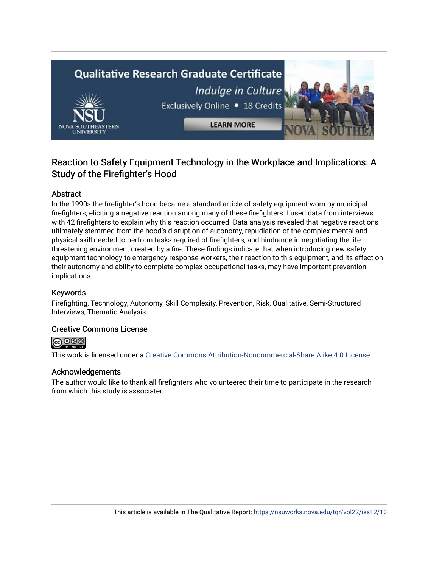# **Qualitative Research Graduate Certificate** Indulge in Culture Exclusively Online . 18 Credits **LEARN MORE**

### Reaction to Safety Equipment Technology in the Workplace and Implications: A Study of the Firefighter's Hood

#### Abstract

In the 1990s the firefighter's hood became a standard article of safety equipment worn by municipal firefighters, eliciting a negative reaction among many of these firefighters. I used data from interviews with 42 firefighters to explain why this reaction occurred. Data analysis revealed that negative reactions ultimately stemmed from the hood's disruption of autonomy, repudiation of the complex mental and physical skill needed to perform tasks required of firefighters, and hindrance in negotiating the lifethreatening environment created by a fire. These findings indicate that when introducing new safety equipment technology to emergency response workers, their reaction to this equipment, and its effect on their autonomy and ability to complete complex occupational tasks, may have important prevention implications.

#### Keywords

Firefighting, Technology, Autonomy, Skill Complexity, Prevention, Risk, Qualitative, Semi-Structured Interviews, Thematic Analysis

#### Creative Commons License



This work is licensed under a [Creative Commons Attribution-Noncommercial-Share Alike 4.0 License](https://creativecommons.org/licenses/by-nc-sa/4.0/).

#### Acknowledgements

The author would like to thank all firefighters who volunteered their time to participate in the research from which this study is associated.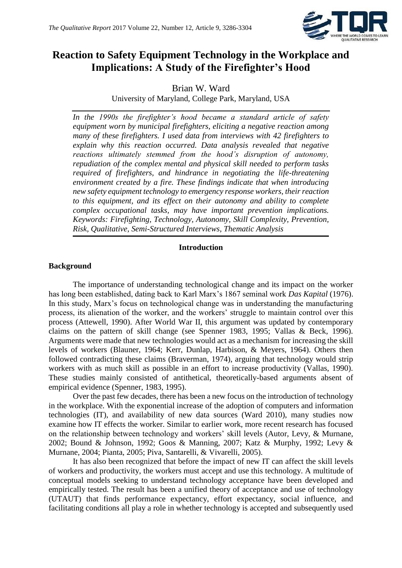

## **Reaction to Safety Equipment Technology in the Workplace and Implications: A Study of the Firefighter's Hood**

Brian W. Ward

University of Maryland, College Park, Maryland, USA

*In the 1990s the firefighter's hood became a standard article of safety equipment worn by municipal firefighters, eliciting a negative reaction among many of these firefighters. I used data from interviews with 42 firefighters to explain why this reaction occurred. Data analysis revealed that negative reactions ultimately stemmed from the hood's disruption of autonomy, repudiation of the complex mental and physical skill needed to perform tasks required of firefighters, and hindrance in negotiating the life-threatening environment created by a fire. These findings indicate that when introducing new safety equipment technology to emergency response workers, their reaction to this equipment, and its effect on their autonomy and ability to complete complex occupational tasks, may have important prevention implications. Keywords: Firefighting, Technology, Autonomy, Skill Complexity, Prevention, Risk, Qualitative, Semi-Structured Interviews, Thematic Analysis*

#### **Introduction**

#### **Background**

The importance of understanding technological change and its impact on the worker has long been established, dating back to Karl Marx's 1867 seminal work *Das Kapital* (1976). In this study, Marx's focus on technological change was in understanding the manufacturing process, its alienation of the worker, and the workers' struggle to maintain control over this process (Attewell, 1990). After World War II, this argument was updated by contemporary claims on the pattern of skill change (see Spenner 1983, 1995; Vallas & Beck, 1996). Arguments were made that new technologies would act as a mechanism for increasing the skill levels of workers (Blauner, 1964; Kerr, Dunlap, Harbison, & Meyers, 1964). Others then followed contradicting these claims (Braverman, 1974), arguing that technology would strip workers with as much skill as possible in an effort to increase productivity (Vallas, 1990). These studies mainly consisted of antithetical, theoretically-based arguments absent of empirical evidence (Spenner, 1983, 1995).

Over the past few decades, there has been a new focus on the introduction of technology in the workplace. With the exponential increase of the adoption of computers and information technologies (IT), and availability of new data sources (Ward 2010), many studies now examine how IT effects the worker. Similar to earlier work, more recent research has focused on the relationship between technology and workers' skill levels (Autor, Levy, & Murnane, 2002; Bound & Johnson, 1992; Goos & Manning, 2007; Katz & Murphy, 1992; Levy & Murnane, 2004; Pianta, 2005; Piva, Santarelli, & Vivarelli, 2005).

It has also been recognized that before the impact of new IT can affect the skill levels of workers and productivity, the workers must accept and use this technology. A multitude of conceptual models seeking to understand technology acceptance have been developed and empirically tested. The result has been a unified theory of acceptance and use of technology (UTAUT) that finds performance expectancy, effort expectancy, social influence, and facilitating conditions all play a role in whether technology is accepted and subsequently used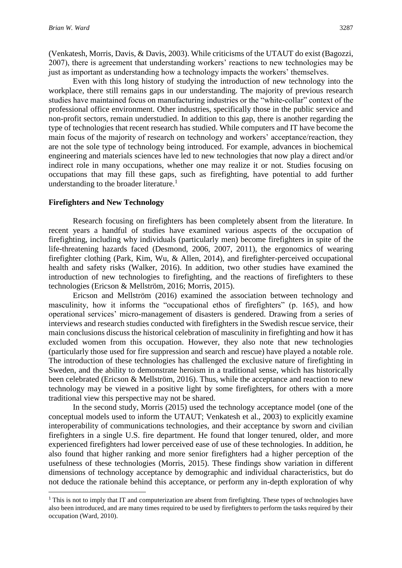**.** 

(Venkatesh, Morris, Davis, & Davis, 2003). While criticisms of the UTAUT do exist (Bagozzi, 2007), there is agreement that understanding workers' reactions to new technologies may be just as important as understanding how a technology impacts the workers' themselves.

Even with this long history of studying the introduction of new technology into the workplace, there still remains gaps in our understanding. The majority of previous research studies have maintained focus on manufacturing industries or the "white-collar" context of the professional office environment. Other industries, specifically those in the public service and non-profit sectors, remain understudied. In addition to this gap, there is another regarding the type of technologies that recent research has studied. While computers and IT have become the main focus of the majority of research on technology and workers' acceptance/reaction, they are not the sole type of technology being introduced. For example, advances in biochemical engineering and materials sciences have led to new technologies that now play a direct and/or indirect role in many occupations, whether one may realize it or not. Studies focusing on occupations that may fill these gaps, such as firefighting, have potential to add further understanding to the broader literature.<sup>1</sup>

#### **Firefighters and New Technology**

Research focusing on firefighters has been completely absent from the literature. In recent years a handful of studies have examined various aspects of the occupation of firefighting, including why individuals (particularly men) become firefighters in spite of the life-threatening hazards faced (Desmond, 2006, 2007, 2011), the ergonomics of wearing firefighter clothing (Park, Kim, Wu, & Allen, 2014), and firefighter-perceived occupational health and safety risks (Walker, 2016). In addition, two other studies have examined the introduction of new technologies to firefighting, and the reactions of firefighters to these technologies (Ericson & Mellström, 2016; Morris, 2015).

Ericson and Mellström (2016) examined the association between technology and masculinity, how it informs the "occupational ethos of firefighters" (p. 165), and how operational services' micro-management of disasters is gendered. Drawing from a series of interviews and research studies conducted with firefighters in the Swedish rescue service, their main conclusions discuss the historical celebration of masculinity in firefighting and how it has excluded women from this occupation. However, they also note that new technologies (particularly those used for fire suppression and search and rescue) have played a notable role. The introduction of these technologies has challenged the exclusive nature of firefighting in Sweden, and the ability to demonstrate heroism in a traditional sense, which has historically been celebrated (Ericson & Mellström, 2016). Thus, while the acceptance and reaction to new technology may be viewed in a positive light by some firefighters, for others with a more traditional view this perspective may not be shared.

In the second study, Morris (2015) used the technology acceptance model (one of the conceptual models used to inform the UTAUT; Venkatesh et al., 2003) to explicitly examine interoperability of communications technologies, and their acceptance by sworn and civilian firefighters in a single U.S. fire department. He found that longer tenured, older, and more experienced firefighters had lower perceived ease of use of these technologies. In addition, he also found that higher ranking and more senior firefighters had a higher perception of the usefulness of these technologies (Morris, 2015). These findings show variation in different dimensions of technology acceptance by demographic and individual characteristics, but do not deduce the rationale behind this acceptance, or perform any in-depth exploration of why

<sup>&</sup>lt;sup>1</sup> This is not to imply that IT and computerization are absent from firefighting. These types of technologies have also been introduced, and are many times required to be used by firefighters to perform the tasks required by their occupation (Ward, 2010).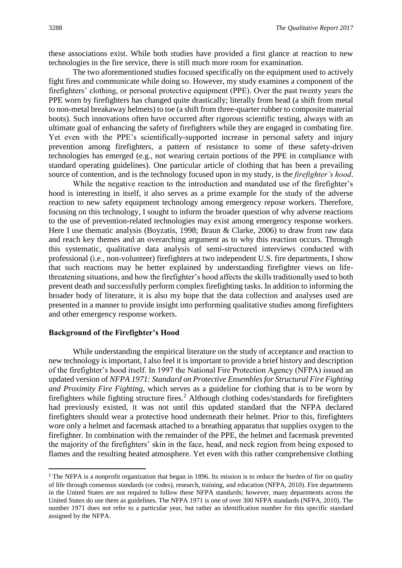these associations exist. While both studies have provided a first glance at reaction to new technologies in the fire service, there is still much more room for examination.

The two aforementioned studies focused specifically on the equipment used to actively fight fires and communicate while doing so. However, my study examines a component of the firefighters' clothing, or personal protective equipment (PPE). Over the past twenty years the PPE worn by firefighters has changed quite drastically; literally from head (a shift from metal to non-metal breakaway helmets) to toe (a shift from three-quarter rubber to composite material boots). Such innovations often have occurred after rigorous scientific testing, always with an ultimate goal of enhancing the safety of firefighters while they are engaged in combating fire. Yet even with the PPE's scientifically-supported increase in personal safety and injury prevention among firefighters, a pattern of resistance to some of these safety-driven technologies has emerged (e.g., not wearing certain portions of the PPE in compliance with standard operating guidelines). One particular article of clothing that has been a prevailing source of contention, and is the technology focused upon in my study, is the *firefighter's hood*.

While the negative reaction to the introduction and mandated use of the firefighter's hood is interesting in itself, it also serves as a prime example for the study of the adverse reaction to new safety equipment technology among emergency repose workers. Therefore, focusing on this technology, I sought to inform the broader question of why adverse reactions to the use of prevention-related technologies may exist among emergency response workers. Here I use thematic analysis (Boyzatis, 1998; Braun & Clarke, 2006) to draw from raw data and reach key themes and an overarching argument as to why this reaction occurs. Through this systematic, qualitative data analysis of semi-structured interviews conducted with professional (i.e., non-volunteer) firefighters at two independent U.S. fire departments, I show that such reactions may be better explained by understanding firefighter views on lifethreatening situations, and how the firefighter's hood affects the skills traditionally used to both prevent death and successfully perform complex firefighting tasks. In addition to informing the broader body of literature, it is also my hope that the data collection and analyses used are presented in a manner to provide insight into performing qualitative studies among firefighters and other emergency response workers.

#### **Background of the Firefighter's Hood**

**.** 

While understanding the empirical literature on the study of acceptance and reaction to new technology is important, I also feel it is important to provide a brief history and description of the firefighter's hood itself. In 1997 the National Fire Protection Agency (NFPA) issued an updated version of *NFPA 1971: Standard on Protective Ensembles for Structural Fire Fighting and Proximity Fire Fighting*, which serves as a guideline for clothing that is to be worn by firefighters while fighting structure fires.<sup>2</sup> Although clothing codes/standards for firefighters had previously existed, it was not until this updated standard that the NFPA declared firefighters should wear a protective hood underneath their helmet. Prior to this, firefighters wore only a helmet and facemask attached to a breathing apparatus that supplies oxygen to the firefighter. In combination with the remainder of the PPE, the helmet and facemask prevented the majority of the firefighters' skin in the face, head, and neck region from being exposed to flames and the resulting heated atmosphere. Yet even with this rather comprehensive clothing

<sup>&</sup>lt;sup>2</sup> The NFPA is a nonprofit organization that began in 1896. Its mission is to reduce the burden of fire on quality of life through consensus standards (or codes), research, training, and education (NFPA, 2010). Fire departments in the United States are not required to follow these NFPA standards; however, many departments across the United States do use them as guidelines. The NFPA 1971 is one of over 300 NFPA standards (NFPA, 2010). The number 1971 does not refer to a particular year, but rather an identification number for this specific standard assigned by the NFPA.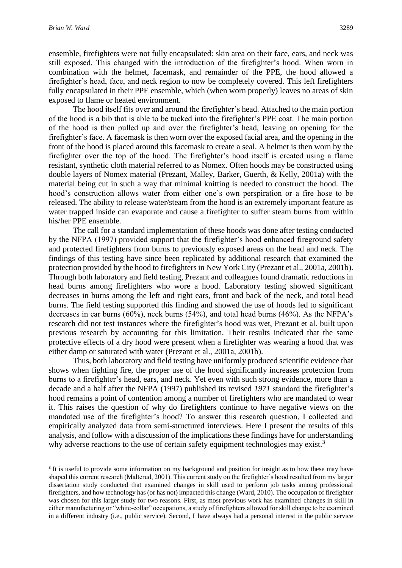**.** 

ensemble, firefighters were not fully encapsulated: skin area on their face, ears, and neck was still exposed. This changed with the introduction of the firefighter's hood. When worn in combination with the helmet, facemask, and remainder of the PPE, the hood allowed a firefighter's head, face, and neck region to now be completely covered. This left firefighters fully encapsulated in their PPE ensemble, which (when worn properly) leaves no areas of skin exposed to flame or heated environment.

The hood itself fits over and around the firefighter's head. Attached to the main portion of the hood is a bib that is able to be tucked into the firefighter's PPE coat. The main portion of the hood is then pulled up and over the firefighter's head, leaving an opening for the firefighter's face. A facemask is then worn over the exposed facial area, and the opening in the front of the hood is placed around this facemask to create a seal. A helmet is then worn by the firefighter over the top of the hood. The firefighter's hood itself is created using a flame resistant, synthetic cloth material referred to as Nomex. Often hoods may be constructed using double layers of Nomex material (Prezant, Malley, Barker, Guerth, & Kelly, 2001a) with the material being cut in such a way that minimal knitting is needed to construct the hood. The hood's construction allows water from either one's own perspiration or a fire hose to be released. The ability to release water/steam from the hood is an extremely important feature as water trapped inside can evaporate and cause a firefighter to suffer steam burns from within his/her PPE ensemble.

The call for a standard implementation of these hoods was done after testing conducted by the NFPA (1997) provided support that the firefighter's hood enhanced fireground safety and protected firefighters from burns to previously exposed areas on the head and neck. The findings of this testing have since been replicated by additional research that examined the protection provided by the hood to firefighters in New York City (Prezant et al., 2001a, 2001b). Through both laboratory and field testing, Prezant and colleagues found dramatic reductions in head burns among firefighters who wore a hood. Laboratory testing showed significant decreases in burns among the left and right ears, front and back of the neck, and total head burns. The field testing supported this finding and showed the use of hoods led to significant decreases in ear burns (60%), neck burns (54%), and total head burns (46%). As the NFPA's research did not test instances where the firefighter's hood was wet, Prezant et al. built upon previous research by accounting for this limitation. Their results indicated that the same protective effects of a dry hood were present when a firefighter was wearing a hood that was either damp or saturated with water (Prezant et al., 2001a, 2001b).

Thus, both laboratory and field testing have uniformly produced scientific evidence that shows when fighting fire, the proper use of the hood significantly increases protection from burns to a firefighter's head, ears, and neck. Yet even with such strong evidence, more than a decade and a half after the NFPA (1997) published its revised *1971* standard the firefighter's hood remains a point of contention among a number of firefighters who are mandated to wear it. This raises the question of why do firefighters continue to have negative views on the mandated use of the firefighter's hood? To answer this research question, I collected and empirically analyzed data from semi-structured interviews. Here I present the results of this analysis, and follow with a discussion of the implications these findings have for understanding why adverse reactions to the use of certain safety equipment technologies may exist.<sup>3</sup>

<sup>&</sup>lt;sup>3</sup> It is useful to provide some information on my background and position for insight as to how these may have shaped this current research (Malterud, 2001). This current study on the firefighter's hood resulted from my larger dissertation study conducted that examined changes in skill used to perform job tasks among professional firefighters, and how technology has (or has not) impacted this change (Ward, 2010). The occupation of firefighter was chosen for this larger study for two reasons. First, as most previous work has examined changes in skill in either manufacturing or "white-collar" occupations, a study of firefighters allowed for skill change to be examined in a different industry (i.e., public service). Second, I have always had a personal interest in the public service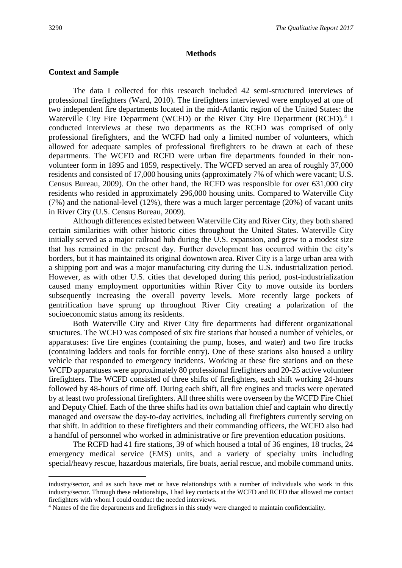$\overline{a}$ 

#### **Methods**

#### **Context and Sample**

The data I collected for this research included 42 semi-structured interviews of professional firefighters (Ward, 2010). The firefighters interviewed were employed at one of two independent fire departments located in the mid-Atlantic region of the United States: the Waterville City Fire Department (WCFD) or the River City Fire Department (RCFD).<sup>4</sup> I conducted interviews at these two departments as the RCFD was comprised of only professional firefighters, and the WCFD had only a limited number of volunteers, which allowed for adequate samples of professional firefighters to be drawn at each of these departments. The WCFD and RCFD were urban fire departments founded in their nonvolunteer form in 1895 and 1859, respectively. The WCFD served an area of roughly 37,000 residents and consisted of 17,000 housing units (approximately 7% of which were vacant; U.S. Census Bureau, 2009). On the other hand, the RCFD was responsible for over 631,000 city residents who resided in approximately 296,000 housing units. Compared to Waterville City (7%) and the national-level (12%), there was a much larger percentage (20%) of vacant units in River City (U.S. Census Bureau, 2009).

Although differences existed between Waterville City and River City, they both shared certain similarities with other historic cities throughout the United States. Waterville City initially served as a major railroad hub during the U.S. expansion, and grew to a modest size that has remained in the present day. Further development has occurred within the city's borders, but it has maintained its original downtown area. River City is a large urban area with a shipping port and was a major manufacturing city during the U.S. industrialization period. However, as with other U.S. cities that developed during this period, post-industrialization caused many employment opportunities within River City to move outside its borders subsequently increasing the overall poverty levels. More recently large pockets of gentrification have sprung up throughout River City creating a polarization of the socioeconomic status among its residents.

Both Waterville City and River City fire departments had different organizational structures. The WCFD was composed of six fire stations that housed a number of vehicles, or apparatuses: five fire engines (containing the pump, hoses, and water) and two fire trucks (containing ladders and tools for forcible entry). One of these stations also housed a utility vehicle that responded to emergency incidents. Working at these fire stations and on these WCFD apparatuses were approximately 80 professional firefighters and 20-25 active volunteer firefighters. The WCFD consisted of three shifts of firefighters, each shift working 24-hours followed by 48-hours of time off. During each shift, all fire engines and trucks were operated by at least two professional firefighters. All three shifts were overseen by the WCFD Fire Chief and Deputy Chief. Each of the three shifts had its own battalion chief and captain who directly managed and oversaw the day-to-day activities, including all firefighters currently serving on that shift. In addition to these firefighters and their commanding officers, the WCFD also had a handful of personnel who worked in administrative or fire prevention education positions.

The RCFD had 41 fire stations, 39 of which housed a total of 36 engines, 18 trucks, 24 emergency medical service (EMS) units, and a variety of specialty units including special/heavy rescue, hazardous materials, fire boats, aerial rescue, and mobile command units.

industry/sector, and as such have met or have relationships with a number of individuals who work in this industry/sector. Through these relationships, I had key contacts at the WCFD and RCFD that allowed me contact firefighters with whom I could conduct the needed interviews.

<sup>4</sup> Names of the fire departments and firefighters in this study were changed to maintain confidentiality.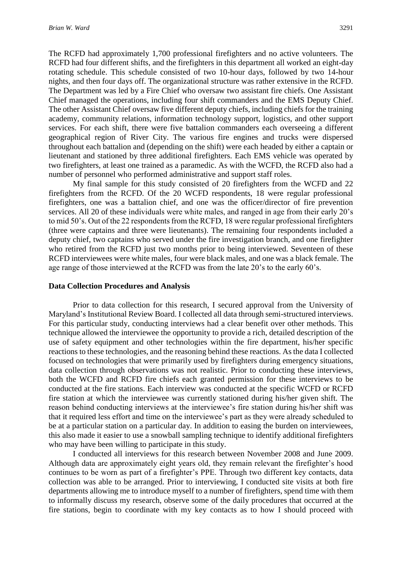The RCFD had approximately 1,700 professional firefighters and no active volunteers. The RCFD had four different shifts, and the firefighters in this department all worked an eight-day rotating schedule. This schedule consisted of two 10-hour days, followed by two 14-hour nights, and then four days off. The organizational structure was rather extensive in the RCFD. The Department was led by a Fire Chief who oversaw two assistant fire chiefs. One Assistant Chief managed the operations, including four shift commanders and the EMS Deputy Chief. The other Assistant Chief oversaw five different deputy chiefs, including chiefs for the training academy, community relations, information technology support, logistics, and other support services. For each shift, there were five battalion commanders each overseeing a different geographical region of River City. The various fire engines and trucks were dispersed throughout each battalion and (depending on the shift) were each headed by either a captain or lieutenant and stationed by three additional firefighters. Each EMS vehicle was operated by two firefighters, at least one trained as a paramedic. As with the WCFD, the RCFD also had a number of personnel who performed administrative and support staff roles.

My final sample for this study consisted of 20 firefighters from the WCFD and 22 firefighters from the RCFD. Of the 20 WCFD respondents, 18 were regular professional firefighters, one was a battalion chief, and one was the officer/director of fire prevention services. All 20 of these individuals were white males, and ranged in age from their early 20's to mid 50's. Out of the 22 respondents from the RCFD, 18 were regular professional firefighters (three were captains and three were lieutenants). The remaining four respondents included a deputy chief, two captains who served under the fire investigation branch, and one firefighter who retired from the RCFD just two months prior to being interviewed. Seventeen of these RCFD interviewees were white males, four were black males, and one was a black female. The age range of those interviewed at the RCFD was from the late 20's to the early 60's.

#### **Data Collection Procedures and Analysis**

Prior to data collection for this research, I secured approval from the University of Maryland's Institutional Review Board. I collected all data through semi-structured interviews. For this particular study, conducting interviews had a clear benefit over other methods. This technique allowed the interviewee the opportunity to provide a rich, detailed description of the use of safety equipment and other technologies within the fire department, his/her specific reactions to these technologies, and the reasoning behind these reactions. As the data I collected focused on technologies that were primarily used by firefighters during emergency situations, data collection through observations was not realistic. Prior to conducting these interviews, both the WCFD and RCFD fire chiefs each granted permission for these interviews to be conducted at the fire stations. Each interview was conducted at the specific WCFD or RCFD fire station at which the interviewee was currently stationed during his/her given shift. The reason behind conducting interviews at the interviewee's fire station during his/her shift was that it required less effort and time on the interviewee's part as they were already scheduled to be at a particular station on a particular day. In addition to easing the burden on interviewees, this also made it easier to use a snowball sampling technique to identify additional firefighters who may have been willing to participate in this study.

I conducted all interviews for this research between November 2008 and June 2009. Although data are approximately eight years old, they remain relevant the firefighter's hood continues to be worn as part of a firefighter's PPE. Through two different key contacts, data collection was able to be arranged. Prior to interviewing, I conducted site visits at both fire departments allowing me to introduce myself to a number of firefighters, spend time with them to informally discuss my research, observe some of the daily procedures that occurred at the fire stations, begin to coordinate with my key contacts as to how I should proceed with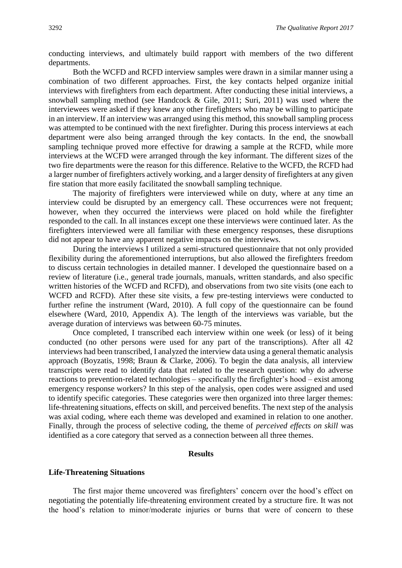conducting interviews, and ultimately build rapport with members of the two different departments.

Both the WCFD and RCFD interview samples were drawn in a similar manner using a combination of two different approaches. First, the key contacts helped organize initial interviews with firefighters from each department. After conducting these initial interviews, a snowball sampling method (see Handcock & Gile, 2011; Suri, 2011) was used where the interviewees were asked if they knew any other firefighters who may be willing to participate in an interview. If an interview was arranged using this method, this snowball sampling process was attempted to be continued with the next firefighter. During this process interviews at each department were also being arranged through the key contacts. In the end, the snowball sampling technique proved more effective for drawing a sample at the RCFD, while more interviews at the WCFD were arranged through the key informant. The different sizes of the two fire departments were the reason for this difference. Relative to the WCFD, the RCFD had a larger number of firefighters actively working, and a larger density of firefighters at any given fire station that more easily facilitated the snowball sampling technique.

The majority of firefighters were interviewed while on duty, where at any time an interview could be disrupted by an emergency call. These occurrences were not frequent; however, when they occurred the interviews were placed on hold while the firefighter responded to the call. In all instances except one these interviews were continued later. As the firefighters interviewed were all familiar with these emergency responses, these disruptions did not appear to have any apparent negative impacts on the interviews.

During the interviews I utilized a semi-structured questionnaire that not only provided flexibility during the aforementioned interruptions, but also allowed the firefighters freedom to discuss certain technologies in detailed manner. I developed the questionnaire based on a review of literature (i.e., general trade journals, manuals, written standards, and also specific written histories of the WCFD and RCFD), and observations from two site visits (one each to WCFD and RCFD). After these site visits, a few pre-testing interviews were conducted to further refine the instrument (Ward, 2010). A full copy of the questionnaire can be found elsewhere (Ward, 2010, Appendix A). The length of the interviews was variable, but the average duration of interviews was between 60-75 minutes.

Once completed, I transcribed each interview within one week (or less) of it being conducted (no other persons were used for any part of the transcriptions). After all 42 interviews had been transcribed, I analyzed the interview data using a general thematic analysis approach (Boyzatis, 1998; Braun & Clarke, 2006). To begin the data analysis, all interview transcripts were read to identify data that related to the research question: why do adverse reactions to prevention-related technologies – specifically the firefighter's hood – exist among emergency response workers? In this step of the analysis, open codes were assigned and used to identify specific categories. These categories were then organized into three larger themes: life-threatening situations, effects on skill, and perceived benefits. The next step of the analysis was axial coding, where each theme was developed and examined in relation to one another. Finally, through the process of selective coding, the theme of *perceived effects on skill* was identified as a core category that served as a connection between all three themes.

#### **Results**

#### **Life-Threatening Situations**

The first major theme uncovered was firefighters' concern over the hood's effect on negotiating the potentially life-threatening environment created by a structure fire. It was not the hood's relation to minor/moderate injuries or burns that were of concern to these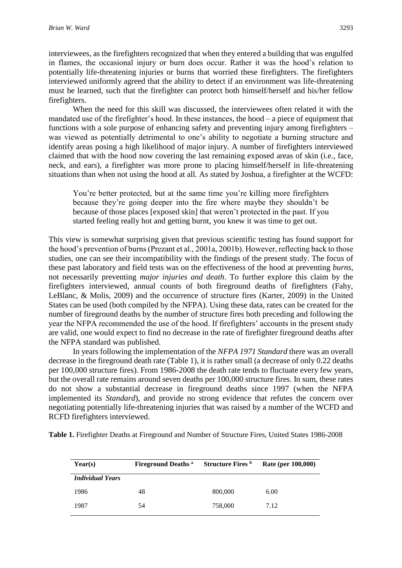interviewees, as the firefighters recognized that when they entered a building that was engulfed in flames, the occasional injury or burn does occur. Rather it was the hood's relation to potentially life-threatening injuries or burns that worried these firefighters. The firefighters interviewed uniformly agreed that the ability to detect if an environment was life-threatening must be learned, such that the firefighter can protect both himself/herself and his/her fellow firefighters.

When the need for this skill was discussed, the interviewees often related it with the mandated use of the firefighter's hood. In these instances, the hood – a piece of equipment that functions with a sole purpose of enhancing safety and preventing injury among firefighters – was viewed as potentially detrimental to one's ability to negotiate a burning structure and identify areas posing a high likelihood of major injury. A number of firefighters interviewed claimed that with the hood now covering the last remaining exposed areas of skin (i.e., face, neck, and ears), a firefighter was more prone to placing himself/herself in life-threatening situations than when not using the hood at all. As stated by Joshua, a firefighter at the WCFD:

You're better protected, but at the same time you're killing more firefighters because they're going deeper into the fire where maybe they shouldn't be because of those places [exposed skin] that weren't protected in the past. If you started feeling really hot and getting burnt, you knew it was time to get out.

This view is somewhat surprising given that previous scientific testing has found support for the hood's prevention of burns (Prezant et al., 2001a, 2001b). However, reflecting back to those studies, one can see their incompatibility with the findings of the present study. The focus of these past laboratory and field tests was on the effectiveness of the hood at preventing *burns*, not necessarily preventing *major injuries and death*. To further explore this claim by the firefighters interviewed, annual counts of both fireground deaths of firefighters (Fahy, LeBlanc, & Molis, 2009) and the occurrence of structure fires (Karter, 2009) in the United States can be used (both compiled by the NFPA). Using these data, rates can be created for the number of fireground deaths by the number of structure fires both preceding and following the year the NFPA recommended the use of the hood. If firefighters' accounts in the present study are valid, one would expect to find no decrease in the rate of firefighter fireground deaths after the NFPA standard was published.

In years following the implementation of the *NFPA 1971 Standard* there was an overall decrease in the fireground death rate (Table 1), it is rather small (a decrease of only 0.22 deaths per 100,000 structure fires). From 1986-2008 the death rate tends to fluctuate every few years, but the overall rate remains around seven deaths per 100,000 structure fires. In sum, these rates do not show a substantial decrease in fireground deaths since 1997 (when the NFPA implemented its *Standard*), and provide no strong evidence that refutes the concern over negotiating potentially life-threatening injuries that was raised by a number of the WCFD and RCFD firefighters interviewed.

**Table 1.** Firefighter Deaths at Fireground and Number of Structure Fires, United States 1986-2008

| Year(s)                 | <b>Fireground Deaths</b> a | <b>Structure Fires</b> b | Rate (per 100,000) |
|-------------------------|----------------------------|--------------------------|--------------------|
| <b>Individual Years</b> |                            |                          |                    |
| 1986                    | 48                         | 800,000                  | 6.00               |
| 1987                    | 54                         | 758,000                  | 7.12               |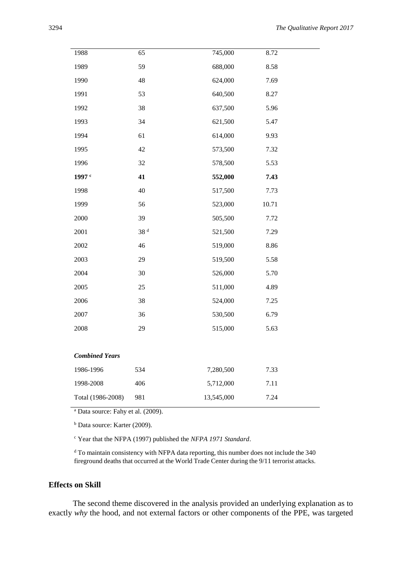| 1988                  | 65              | 745,000    | 8.72  |
|-----------------------|-----------------|------------|-------|
| 1989                  | 59              | 688,000    | 8.58  |
| 1990                  | 48              | 624,000    | 7.69  |
| 1991                  | 53              | 640,500    | 8.27  |
| 1992                  | 38              | 637,500    | 5.96  |
| 1993                  | 34              | 621,500    | 5.47  |
| 1994                  | 61              | 614,000    | 9.93  |
| 1995                  | 42              | 573,500    | 7.32  |
| 1996                  | 32              | 578,500    | 5.53  |
| 1997 <sup>c</sup>     | 41              | 552,000    | 7.43  |
| 1998                  | 40              | 517,500    | 7.73  |
| 1999                  | 56              | 523,000    | 10.71 |
| 2000                  | 39              | 505,500    | 7.72  |
| 2001                  | 38 <sup>d</sup> | 521,500    | 7.29  |
| 2002                  | 46              | 519,000    | 8.86  |
| 2003                  | 29              | 519,500    | 5.58  |
| 2004                  | 30              | 526,000    | 5.70  |
| 2005                  | 25              | 511,000    | 4.89  |
| 2006                  | 38              | 524,000    | 7.25  |
| 2007                  | 36              | 530,500    | 6.79  |
| 2008                  | 29              | 515,000    | 5.63  |
|                       |                 |            |       |
| <b>Combined Years</b> |                 |            |       |
| 1986-1996             | 534             | 7,280,500  | 7.33  |
| 1998-2008             | 406             | 5,712,000  | 7.11  |
| Total (1986-2008)     | 981             | 13,545,000 | 7.24  |

<sup>a</sup> Data source: Fahy et al. (2009).

<sup>b</sup> Data source: Karter (2009).

<sup>c</sup> Year that the NFPA (1997) published the *NFPA 1971 Standard*.

<sup>d</sup> To maintain consistency with NFPA data reporting, this number does not include the 340 fireground deaths that occurred at the World Trade Center during the 9/11 terrorist attacks.

#### **Effects on Skill**

The second theme discovered in the analysis provided an underlying explanation as to exactly *why* the hood, and not external factors or other components of the PPE, was targeted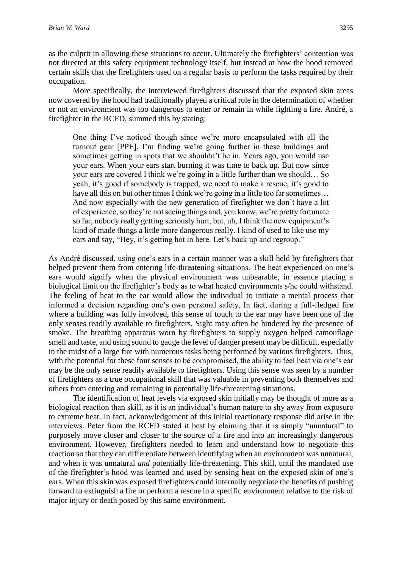as the culprit in allowing these situations to occur. Ultimately the firefighters' contention was not directed at this safety equipment technology itself, but instead at how the hood removed certain skills that the firefighters used on a regular basis to perform the tasks required by their occupation.

More specifically, the interviewed firefighters discussed that the exposed skin areas now covered by the hood had traditionally played a critical role in the determination of whether or not an environment was too dangerous to enter or remain in while fighting a fire. André, a firefighter in the RCFD, summed this by stating:

One thing I've noticed though since we're more encapsulated with all the turnout gear [PPE], I'm finding we're going further in these buildings and sometimes getting in spots that we shouldn't be in. Years ago, you would use your ears. When your ears start burning it was time to back up. But now since your ears are covered I think we're going in a little further than we should… So yeah, it's good if somebody is trapped, we need to make a rescue, it's good to have all this on but other times I think we're going in a little too far sometimes... And now especially with the new generation of firefighter we don't have a lot of experience, so they're not seeing things and, you know, we're pretty fortunate so far, nobody really getting seriously hurt, but, uh, I think the new equipment's kind of made things a little more dangerous really. I kind of used to like use my ears and say, "Hey, it's getting hot in here. Let's back up and regroup."

As André discussed, using one's ears in a certain manner was a skill held by firefighters that helped prevent them from entering life-threatening situations. The heat experienced on one's ears would signify when the physical environment was unbearable, in essence placing a biological limit on the firefighter's body as to what heated environments s/he could withstand. The feeling of heat to the ear would allow the individual to initiate a mental process that informed a decision regarding one's own personal safety. In fact, during a full-fledged fire where a building was fully involved, this sense of touch to the ear may have been one of the only senses readily available to firefighters. Sight may often be hindered by the presence of smoke. The breathing apparatus worn by firefighters to supply oxygen helped camouflage smell and taste, and using sound to gauge the level of danger present may be difficult, especially in the midst of a large fire with numerous tasks being performed by various firefighters. Thus, with the potential for these four senses to be compromised, the ability to feel heat via one's ear may be the only sense readily available to firefighters. Using this sense was seen by a number of firefighters as a true occupational skill that was valuable in preventing both themselves and others from entering and remaining in potentially life-threatening situations.

The identification of heat levels via exposed skin initially may be thought of more as a biological reaction than skill, as it is an individual's human nature to shy away from exposure to extreme heat. In fact, acknowledgement of this initial reactionary response did arise in the interviews. Peter from the RCFD stated it best by claiming that it is simply "unnatural" to purposely move closer and closer to the source of a fire and into an increasingly dangerous environment. However, firefighters needed to learn and understand how to negotiate this reaction so that they can differentiate between identifying when an environment was unnatural, and when it was unnatural *and* potentially life-threatening. This skill, until the mandated use of the firefighter's hood was learned and used by sensing heat on the exposed skin of one's ears. When this skin was exposed firefighters could internally negotiate the benefits of pushing forward to extinguish a fire or perform a rescue in a specific environment relative to the risk of major injury or death posed by this same environment.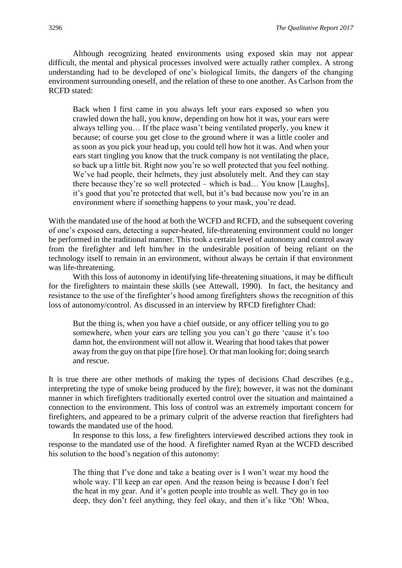Although recognizing heated environments using exposed skin may not appear difficult, the mental and physical processes involved were actually rather complex. A strong understanding had to be developed of one's biological limits, the dangers of the changing environment surrounding oneself, and the relation of these to one another. As Carlson from the RCFD stated:

Back when I first came in you always left your ears exposed so when you crawled down the hall, you know, depending on how hot it was, your ears were always telling you… If the place wasn't being ventilated properly, you knew it because; of course you get close to the ground where it was a little cooler and as soon as you pick your head up, you could tell how hot it was. And when your ears start tingling you know that the truck company is not ventilating the place, so back up a little bit. Right now you're so well protected that you feel nothing. We've had people, their helmets, they just absolutely melt. And they can stay there because they're so well protected – which is bad… You know [Laughs], it's good that you're protected that well, but it's bad because now you're in an environment where if something happens to your mask, you're dead.

With the mandated use of the hood at both the WCFD and RCFD, and the subsequent covering of one's exposed ears, detecting a super-heated, life-threatening environment could no longer be performed in the traditional manner. This took a certain level of autonomy and control away from the firefighter and left him/her in the undesirable position of being reliant on the technology itself to remain in an environment, without always be certain if that environment was life-threatening.

With this loss of autonomy in identifying life-threatening situations, it may be difficult for the firefighters to maintain these skills (see Attewall, 1990). In fact, the hesitancy and resistance to the use of the firefighter's hood among firefighters shows the recognition of this loss of autonomy/control. As discussed in an interview by RFCD firefighter Chad:

But the thing is, when you have a chief outside, or any officer telling you to go somewhere, when your ears are telling you you can't go there 'cause it's too damn hot, the environment will not allow it. Wearing that hood takes that power away from the guy on that pipe [fire hose]*.* Or that man looking for; doing search and rescue.

It is true there are other methods of making the types of decisions Chad describes (e.g., interpreting the type of smoke being produced by the fire); however, it was not the dominant manner in which firefighters traditionally exerted control over the situation and maintained a connection to the environment. This loss of control was an extremely important concern for firefighters, and appeared to be a primary culprit of the adverse reaction that firefighters had towards the mandated use of the hood.

In response to this loss, a few firefighters interviewed described actions they took in response to the mandated use of the hood. A firefighter named Ryan at the WCFD described his solution to the hood's negation of this autonomy:

The thing that I've done and take a beating over is I won't wear my hood the whole way. I'll keep an ear open. And the reason being is because I don't feel the heat in my gear. And it's gotten people into trouble as well. They go in too deep, they don't feel anything, they feel okay, and then it's like "Oh! Whoa,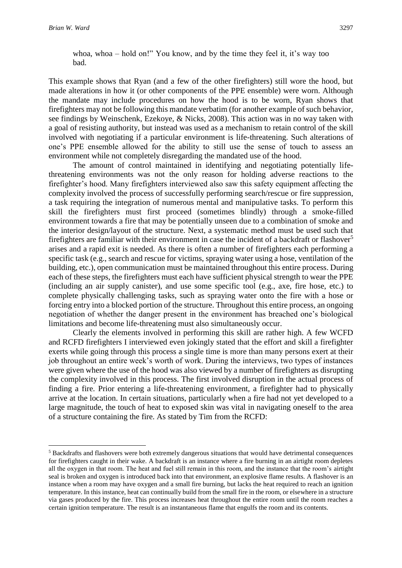**.** 

#### whoa, whoa – hold on!" You know, and by the time they feel it, it's way too bad.

This example shows that Ryan (and a few of the other firefighters) still wore the hood, but made alterations in how it (or other components of the PPE ensemble) were worn. Although the mandate may include procedures on how the hood is to be worn, Ryan shows that firefighters may not be following this mandate verbatim (for another example of such behavior, see findings by Weinschenk, Ezekoye, & Nicks, 2008). This action was in no way taken with a goal of resisting authority, but instead was used as a mechanism to retain control of the skill involved with negotiating if a particular environment is life-threatening. Such alterations of one's PPE ensemble allowed for the ability to still use the sense of touch to assess an environment while not completely disregarding the mandated use of the hood.

The amount of control maintained in identifying and negotiating potentially lifethreatening environments was not the only reason for holding adverse reactions to the firefighter's hood. Many firefighters interviewed also saw this safety equipment affecting the complexity involved the process of successfully performing search/rescue or fire suppression, a task requiring the integration of numerous mental and manipulative tasks. To perform this skill the firefighters must first proceed (sometimes blindly) through a smoke-filled environment towards a fire that may be potentially unseen due to a combination of smoke and the interior design/layout of the structure. Next, a systematic method must be used such that firefighters are familiar with their environment in case the incident of a backdraft or flashover<sup>5</sup> arises and a rapid exit is needed. As there is often a number of firefighters each performing a specific task (e.g., search and rescue for victims, spraying water using a hose, ventilation of the building, etc.), open communication must be maintained throughout this entire process. During each of these steps, the firefighters must each have sufficient physical strength to wear the PPE (including an air supply canister), and use some specific tool (e.g., axe, fire hose, etc.) to complete physically challenging tasks, such as spraying water onto the fire with a hose or forcing entry into a blocked portion of the structure. Throughout this entire process, an ongoing negotiation of whether the danger present in the environment has breached one's biological limitations and become life-threatening must also simultaneously occur.

Clearly the elements involved in performing this skill are rather high. A few WCFD and RCFD firefighters I interviewed even jokingly stated that the effort and skill a firefighter exerts while going through this process a single time is more than many persons exert at their job throughout an entire week's worth of work. During the interviews, two types of instances were given where the use of the hood was also viewed by a number of firefighters as disrupting the complexity involved in this process. The first involved disruption in the actual process of finding a fire. Prior entering a life-threatening environment, a firefighter had to physically arrive at the location. In certain situations, particularly when a fire had not yet developed to a large magnitude, the touch of heat to exposed skin was vital in navigating oneself to the area of a structure containing the fire. As stated by Tim from the RCFD:

<sup>5</sup> Backdrafts and flashovers were both extremely dangerous situations that would have detrimental consequences for firefighters caught in their wake. A backdraft is an instance where a fire burning in an airtight room depletes all the oxygen in that room. The heat and fuel still remain in this room, and the instance that the room's airtight seal is broken and oxygen is introduced back into that environment, an explosive flame results. A flashover is an instance when a room may have oxygen and a small fire burning, but lacks the heat required to reach an ignition temperature. In this instance, heat can continually build from the small fire in the room, or elsewhere in a structure via gases produced by the fire. This process increases heat throughout the entire room until the room reaches a certain ignition temperature. The result is an instantaneous flame that engulfs the room and its contents.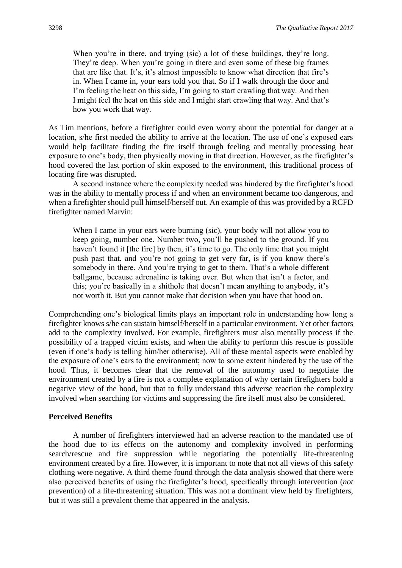When you're in there, and trying (sic) a lot of these buildings, they're long. They're deep. When you're going in there and even some of these big frames that are like that. It's, it's almost impossible to know what direction that fire's in. When I came in, your ears told you that. So if I walk through the door and I'm feeling the heat on this side, I'm going to start crawling that way. And then I might feel the heat on this side and I might start crawling that way. And that's how you work that way.

As Tim mentions, before a firefighter could even worry about the potential for danger at a location, s/he first needed the ability to arrive at the location. The use of one's exposed ears would help facilitate finding the fire itself through feeling and mentally processing heat exposure to one's body, then physically moving in that direction. However, as the firefighter's hood covered the last portion of skin exposed to the environment, this traditional process of locating fire was disrupted.

A second instance where the complexity needed was hindered by the firefighter's hood was in the ability to mentally process if and when an environment became too dangerous, and when a firefighter should pull himself/herself out. An example of this was provided by a RCFD firefighter named Marvin:

When I came in your ears were burning (sic), your body will not allow you to keep going, number one. Number two, you'll be pushed to the ground. If you haven't found it [the fire] by then, it's time to go. The only time that you might push past that, and you're not going to get very far, is if you know there's somebody in there. And you're trying to get to them. That's a whole different ballgame, because adrenaline is taking over. But when that isn't a factor, and this; you're basically in a shithole that doesn't mean anything to anybody, it's not worth it. But you cannot make that decision when you have that hood on.

Comprehending one's biological limits plays an important role in understanding how long a firefighter knows s/he can sustain himself/herself in a particular environment. Yet other factors add to the complexity involved. For example, firefighters must also mentally process if the possibility of a trapped victim exists, and when the ability to perform this rescue is possible (even if one's body is telling him/her otherwise). All of these mental aspects were enabled by the exposure of one's ears to the environment; now to some extent hindered by the use of the hood. Thus, it becomes clear that the removal of the autonomy used to negotiate the environment created by a fire is not a complete explanation of why certain firefighters hold a negative view of the hood, but that to fully understand this adverse reaction the complexity involved when searching for victims and suppressing the fire itself must also be considered.

#### **Perceived Benefits**

A number of firefighters interviewed had an adverse reaction to the mandated use of the hood due to its effects on the autonomy and complexity involved in performing search/rescue and fire suppression while negotiating the potentially life-threatening environment created by a fire. However, it is important to note that not all views of this safety clothing were negative. A third theme found through the data analysis showed that there were also perceived benefits of using the firefighter's hood, specifically through intervention (*not* prevention) of a life-threatening situation. This was not a dominant view held by firefighters, but it was still a prevalent theme that appeared in the analysis.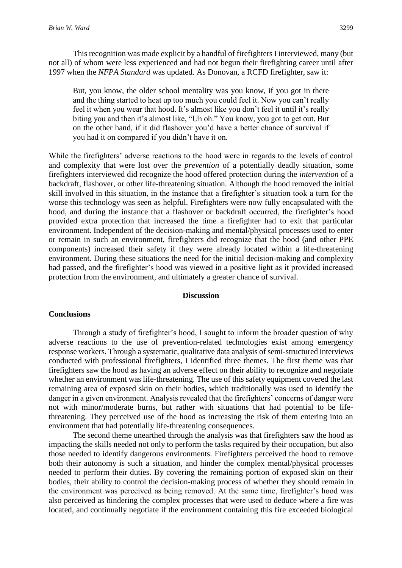This recognition was made explicit by a handful of firefighters I interviewed, many (but not all) of whom were less experienced and had not begun their firefighting career until after 1997 when the *NFPA Standard* was updated. As Donovan, a RCFD firefighter, saw it:

But, you know, the older school mentality was you know, if you got in there and the thing started to heat up too much you could feel it. Now you can't really feel it when you wear that hood. It's almost like you don't feel it until it's really biting you and then it's almost like, "Uh oh." You know, you got to get out. But on the other hand, if it did flashover you'd have a better chance of survival if you had it on compared if you didn't have it on.

While the firefighters' adverse reactions to the hood were in regards to the levels of control and complexity that were lost over the *prevention* of a potentially deadly situation, some firefighters interviewed did recognize the hood offered protection during the *intervention* of a backdraft, flashover, or other life-threatening situation. Although the hood removed the initial skill involved in this situation, in the instance that a firefighter's situation took a turn for the worse this technology was seen as helpful. Firefighters were now fully encapsulated with the hood, and during the instance that a flashover or backdraft occurred, the firefighter's hood provided extra protection that increased the time a firefighter had to exit that particular environment. Independent of the decision-making and mental/physical processes used to enter or remain in such an environment, firefighters did recognize that the hood (and other PPE components) increased their safety if they were already located within a life-threatening environment. During these situations the need for the initial decision-making and complexity had passed, and the firefighter's hood was viewed in a positive light as it provided increased protection from the environment, and ultimately a greater chance of survival.

#### **Discussion**

#### **Conclusions**

Through a study of firefighter's hood, I sought to inform the broader question of why adverse reactions to the use of prevention-related technologies exist among emergency response workers. Through a systematic, qualitative data analysis of semi-structured interviews conducted with professional firefighters, I identified three themes. The first theme was that firefighters saw the hood as having an adverse effect on their ability to recognize and negotiate whether an environment was life-threatening. The use of this safety equipment covered the last remaining area of exposed skin on their bodies, which traditionally was used to identify the danger in a given environment. Analysis revealed that the firefighters' concerns of danger were not with minor/moderate burns, but rather with situations that had potential to be lifethreatening. They perceived use of the hood as increasing the risk of them entering into an environment that had potentially life-threatening consequences.

The second theme unearthed through the analysis was that firefighters saw the hood as impacting the skills needed not only to perform the tasks required by their occupation, but also those needed to identify dangerous environments. Firefighters perceived the hood to remove both their autonomy is such a situation, and hinder the complex mental/physical processes needed to perform their duties. By covering the remaining portion of exposed skin on their bodies, their ability to control the decision-making process of whether they should remain in the environment was perceived as being removed. At the same time, firefighter's hood was also perceived as hindering the complex processes that were used to deduce where a fire was located, and continually negotiate if the environment containing this fire exceeded biological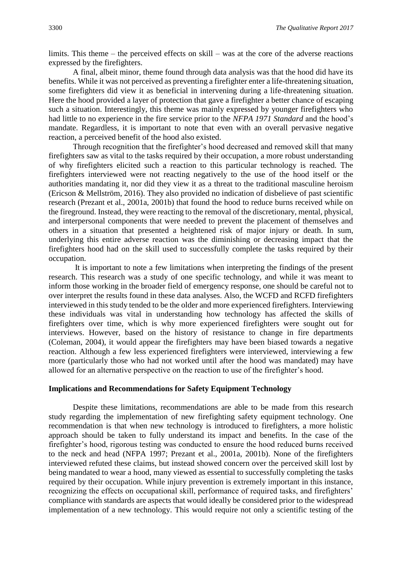limits. This theme – the perceived effects on skill – was at the core of the adverse reactions expressed by the firefighters.

A final, albeit minor, theme found through data analysis was that the hood did have its benefits. While it was not perceived as preventing a firefighter enter a life-threatening situation, some firefighters did view it as beneficial in intervening during a life-threatening situation. Here the hood provided a layer of protection that gave a firefighter a better chance of escaping such a situation. Interestingly, this theme was mainly expressed by younger firefighters who had little to no experience in the fire service prior to the *NFPA 1971 Standard* and the hood's mandate. Regardless, it is important to note that even with an overall pervasive negative reaction, a perceived benefit of the hood also existed.

Through recognition that the firefighter's hood decreased and removed skill that many firefighters saw as vital to the tasks required by their occupation, a more robust understanding of why firefighters elicited such a reaction to this particular technology is reached. The firefighters interviewed were not reacting negatively to the use of the hood itself or the authorities mandating it, nor did they view it as a threat to the traditional masculine heroism (Ericson & Mellström, 2016). They also provided no indication of disbelieve of past scientific research (Prezant et al., 2001a, 2001b) that found the hood to reduce burns received while on the fireground. Instead, they were reacting to the removal of the discretionary, mental, physical, and interpersonal components that were needed to prevent the placement of themselves and others in a situation that presented a heightened risk of major injury or death. In sum, underlying this entire adverse reaction was the diminishing or decreasing impact that the firefighters hood had on the skill used to successfully complete the tasks required by their occupation.

It is important to note a few limitations when interpreting the findings of the present research. This research was a study of one specific technology, and while it was meant to inform those working in the broader field of emergency response, one should be careful not to over interpret the results found in these data analyses. Also, the WCFD and RCFD firefighters interviewed in this study tended to be the older and more experienced firefighters. Interviewing these individuals was vital in understanding how technology has affected the skills of firefighters over time, which is why more experienced firefighters were sought out for interviews. However, based on the history of resistance to change in fire departments (Coleman, 2004), it would appear the firefighters may have been biased towards a negative reaction. Although a few less experienced firefighters were interviewed, interviewing a few more (particularly those who had not worked until after the hood was mandated) may have allowed for an alternative perspective on the reaction to use of the firefighter's hood.

#### **Implications and Recommendations for Safety Equipment Technology**

Despite these limitations, recommendations are able to be made from this research study regarding the implementation of new firefighting safety equipment technology. One recommendation is that when new technology is introduced to firefighters, a more holistic approach should be taken to fully understand its impact and benefits. In the case of the firefighter's hood, rigorous testing was conducted to ensure the hood reduced burns received to the neck and head (NFPA 1997; Prezant et al., 2001a, 2001b). None of the firefighters interviewed refuted these claims, but instead showed concern over the perceived skill lost by being mandated to wear a hood, many viewed as essential to successfully completing the tasks required by their occupation. While injury prevention is extremely important in this instance, recognizing the effects on occupational skill, performance of required tasks, and firefighters' compliance with standards are aspects that would ideally be considered prior to the widespread implementation of a new technology. This would require not only a scientific testing of the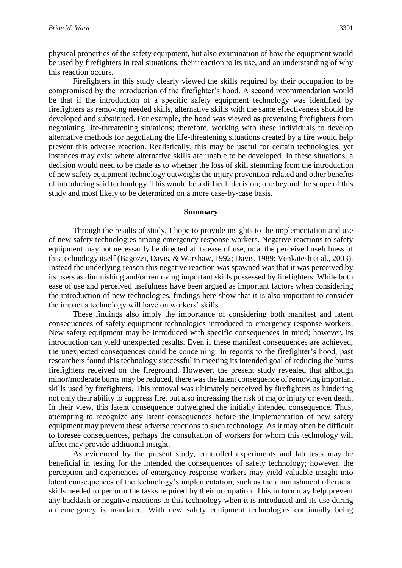physical properties of the safety equipment, but also examination of how the equipment would be used by firefighters in real situations, their reaction to its use, and an understanding of why this reaction occurs.

Firefighters in this study clearly viewed the skills required by their occupation to be compromised by the introduction of the firefighter's hood. A second recommendation would be that if the introduction of a specific safety equipment technology was identified by firefighters as removing needed skills, alternative skills with the same effectiveness should be developed and substituted. For example, the hood was viewed as preventing firefighters from negotiating life-threatening situations; therefore, working with these individuals to develop alternative methods for negotiating the life-threatening situations created by a fire would help prevent this adverse reaction. Realistically, this may be useful for certain technologies, yet instances may exist where alternative skills are unable to be developed. In these situations, a decision would need to be made as to whether the loss of skill stemming from the introduction of new safety equipment technology outweighs the injury prevention-related and other benefits of introducing said technology. This would be a difficult decision; one beyond the scope of this study and most likely to be determined on a more case-by-case basis.

#### **Summary**

Through the results of study, I hope to provide insights to the implementation and use of new safety technologies among emergency response workers. Negative reactions to safety equipment may not necessarily be directed at its ease of use, or at the perceived usefulness of this technology itself (Bagozzi, Davis, & Warshaw, 1992; Davis, 1989; Venkatesh et al., 2003). Instead the underlying reason this negative reaction was spawned was that it was perceived by its users as diminishing and/or removing important skills possessed by firefighters. While both ease of use and perceived usefulness have been argued as important factors when considering the introduction of new technologies, findings here show that it is also important to consider the impact a technology will have on workers' skills.

These findings also imply the importance of considering both manifest and latent consequences of safety equipment technologies introduced to emergency response workers. New safety equipment may be introduced with specific consequences in mind; however, its introduction can yield unexpected results. Even if these manifest consequences are achieved, the unexpected consequences could be concerning. In regards to the firefighter's hood, past researchers found this technology successful in meeting its intended goal of reducing the burns firefighters received on the fireground. However, the present study revealed that although minor/moderate burns may be reduced, there was the latent consequence of removing important skills used by firefighters. This removal was ultimately perceived by firefighters as hindering not only their ability to suppress fire, but also increasing the risk of major injury or even death. In their view, this latent consequence outweighed the initially intended consequence. Thus, attempting to recognize any latent consequences before the implementation of new safety equipment may prevent these adverse reactions to such technology. As it may often be difficult to foresee consequences, perhaps the consultation of workers for whom this technology will affect may provide additional insight.

As evidenced by the present study, controlled experiments and lab tests may be beneficial in testing for the intended the consequences of safety technology; however, the perception and experiences of emergency response workers may yield valuable insight into latent consequences of the technology's implementation, such as the diminishment of crucial skills needed to perform the tasks required by their occupation. This in turn may help prevent any backlash or negative reactions to this technology when it is introduced and its use during an emergency is mandated. With new safety equipment technologies continually being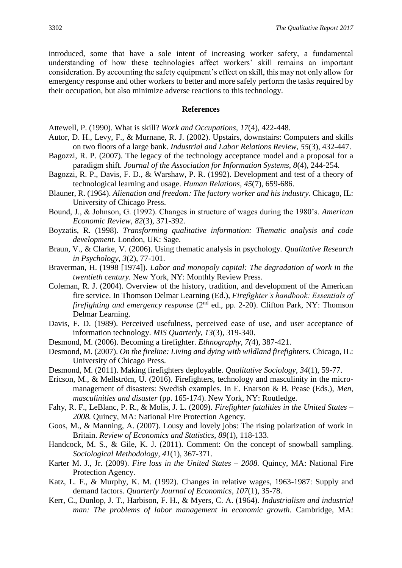introduced, some that have a sole intent of increasing worker safety, a fundamental understanding of how these technologies affect workers' skill remains an important consideration. By accounting the safety equipment's effect on skill, this may not only allow for emergency response and other workers to better and more safely perform the tasks required by their occupation, but also minimize adverse reactions to this technology.

#### **References**

Attewell, P. (1990). What is skill? *Work and Occupations, 17*(4), 422-448.

- Autor, D. H., Levy, F., & Murnane, R. J. (2002). Upstairs, downstairs: Computers and skills on two floors of a large bank. *Industrial and Labor Relations Review*, *55*(3), 432-447.
- Bagozzi, R. P. (2007). The legacy of the technology acceptance model and a proposal for a paradigm shift. *Journal of the Association for Information Systems, 8*(4), 244-254.
- Bagozzi, R. P., Davis, F. D., & Warshaw, P. R. (1992). Development and test of a theory of technological learning and usage. *Human Relations, 45*(7), 659-686.
- Blauner, R. (1964). *Alienation and freedom: The factory worker and his industry.* Chicago, IL: University of Chicago Press.
- Bound, J., & Johnson, G. (1992). Changes in structure of wages during the 1980's. *American Economic Review, 82*(3), 371-392.
- Boyzatis, R. (1998). *Transforming qualitative information: Thematic analysis and code development.* London, UK: Sage.
- Braun, V., & Clarke, V. (2006). Using thematic analysis in psychology. *Qualitative Research in Psychology, 3*(2), 77-101.
- Braverman, H. (1998 [1974]). *Labor and monopoly capital: The degradation of work in the twentieth century.* New York, NY: Monthly Review Press.
- Coleman, R. J. (2004). Overview of the history, tradition, and development of the American fire service. In Thomson Delmar Learning (Ed.), *Firefighter's handbook: Essentials of*  firefighting and emergency response (2<sup>nd</sup> ed., pp. 2-20). Clifton Park, NY: Thomson Delmar Learning.
- Davis, F. D. (1989). Perceived usefulness, perceived ease of use, and user acceptance of information technology. *MIS Quarterly, 13*(3), 319-340.
- Desmond, M. (2006). Becoming a firefighter. *Ethnography, 7(*4), 387-421.
- Desmond, M. (2007). *On the fireline: Living and dying with wildland firefighters.* Chicago, IL: University of Chicago Press.
- Desmond, M. (2011). Making firefighters deployable. *Qualitative Sociology, 34*(1), 59-77.
- Ericson, M., & Mellström, U. (2016). Firefighters, technology and masculinity in the micromanagement of disasters: Swedish examples. In E. Enarson & B. Pease (Eds.), *Men, masculinities and disaster* (pp. 165-174). New York, NY: Routledge.
- Fahy, R. F., LeBlanc, P. R., & Molis, J. L. (2009). *Firefighter fatalities in the United States – 2008.* Quincy, MA: National Fire Protection Agency.
- Goos, M., & Manning, A. (2007). Lousy and lovely jobs: The rising polarization of work in Britain. *Review of Economics and Statistics, 89*(1), 118-133.
- Handcock, M. S., & Gile, K. J. (2011). Comment: On the concept of snowball sampling. *Sociological Methodology, 41*(1), 367-371.
- Karter M. J., Jr. (2009). *Fire loss in the United States – 2008.* Quincy, MA: National Fire Protection Agency.
- Katz, L. F., & Murphy, K. M. (1992). Changes in relative wages, 1963-1987: Supply and demand factors. *Quarterly Journal of Economics, 107*(1), 35-78.
- Kerr, C., Dunlop, J. T., Harbison, F. H., & Myers, C. A. (1964). *Industrialism and industrial man: The problems of labor management in economic growth.* Cambridge, MA: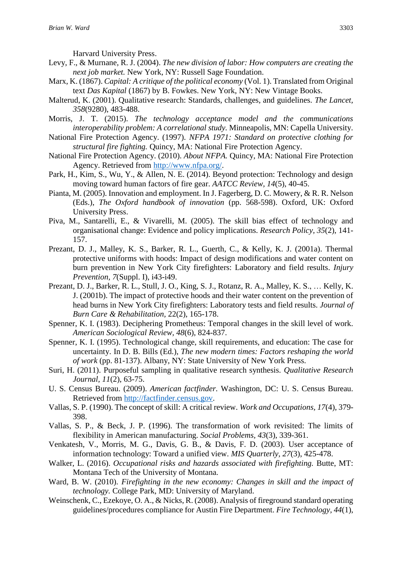Harvard University Press.

- Levy, F., & Murnane, R. J. (2004). *The new division of labor: How computers are creating the next job market.* New York, NY: Russell Sage Foundation.
- Marx, K. (1867). *Capital: A critique of the political economy* (Vol. 1). Translated from Original text *Das Kapital* (1867) by B. Fowkes. New York, NY: New Vintage Books.
- Malterud, K. (2001). Qualitative research: Standards, challenges, and guidelines. *The Lancet, 358*(9280), 483-488.
- Morris, J. T. (2015). *The technology acceptance model and the communications interoperability problem: A correlational study. Minneapolis, MN: Capella University.*
- National Fire Protection Agency. (1997). *NFPA 1971: Standard on protective clothing for structural fire fighting.* Quincy, MA: National Fire Protection Agency.
- National Fire Protection Agency. (2010). *About NFPA.* Quincy, MA: National Fire Protection Agency. Retrieved from [http://www.nfpa.org/.](http://www.nfpa.org/)
- Park, H., Kim, S., Wu, Y., & Allen, N. E. (2014). Beyond protection: Technology and design moving toward human factors of fire gear. *AATCC Review, 14*(5), 40-45.
- Pianta, M. (2005). Innovation and employment. In J. Fagerberg, D. C. Mowery, & R. R. Nelson (Eds.), *The Oxford handbook of innovation* (pp. 568-598). Oxford, UK: Oxford University Press.
- Piva, M., Santarelli, E., & Vivarelli, M. (2005). The skill bias effect of technology and organisational change: Evidence and policy implications. *Research Policy, 35*(2), 141- 157.
- Prezant, D. J., Malley, K. S., Barker, R. L., Guerth, C., & Kelly, K. J. (2001a). Thermal protective uniforms with hoods: Impact of design modifications and water content on burn prevention in New York City firefighters: Laboratory and field results. *Injury Prevention, 7*(Suppl. I), i43-i49.
- Prezant, D. J., Barker, R. L., Stull, J. O., King, S. J., Rotanz, R. A., Malley, K. S., … Kelly, K. J. (2001b). The impact of protective hoods and their water content on the prevention of head burns in New York City firefighters: Laboratory tests and field results. *Journal of Burn Care & Rehabilitation,* 22(2), 165-178.
- Spenner, K. I. (1983). Deciphering Prometheus: Temporal changes in the skill level of work. *American Sociological Review, 48*(6), 824-837.
- Spenner, K. I. (1995). Technological change, skill requirements, and education: The case for uncertainty. In D. B. Bills (Ed.), *The new modern times: Factors reshaping the world of work* (pp. 81-137). Albany, NY: State University of New York Press.
- Suri, H. (2011). Purposeful sampling in qualitative research synthesis. *Qualitative Research Journal, 11*(2), 63-75.
- U. S. Census Bureau. (2009). *American factfinder.* Washington, DC: U. S. Census Bureau. Retrieved from [http://factfinder.census.gov.](http://factfinder.census.gov/)
- Vallas, S. P. (1990). The concept of skill: A critical review. *Work and Occupations, 17*(4), 379- 398.
- Vallas, S. P., & Beck, J. P. (1996). The transformation of work revisited: The limits of flexibility in American manufacturing. *Social Problems, 43*(3), 339-361.
- Venkatesh, V., Morris, M. G., Davis, G. B., & Davis, F. D. (2003). User acceptance of information technology: Toward a unified view. *MIS Quarterly, 27*(3), 425-478.
- Walker, L. (2016). *Occupational risks and hazards associated with firefighting.* Butte, MT: Montana Tech of the University of Montana.
- Ward, B. W. (2010). *Firefighting in the new economy: Changes in skill and the impact of technology.* College Park, MD: University of Maryland.
- Weinschenk, C., Ezekoye, O. A., & Nicks, R. (2008). Analysis of fireground standard operating guidelines/procedures compliance for Austin Fire Department. *Fire Technology, 44*(1),